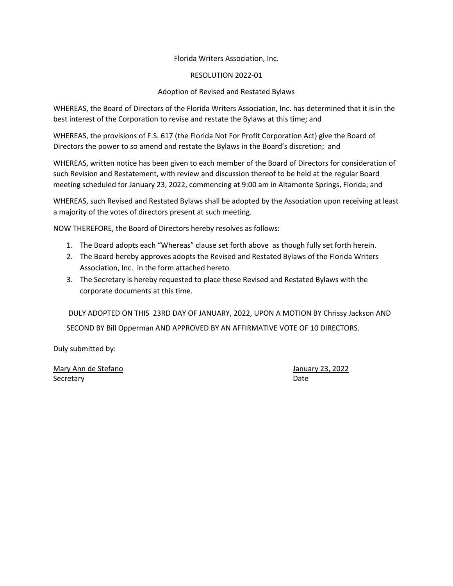### Florida Writers Association, Inc.

### RESOLUTION 2022-01

### Adoption of Revised and Restated Bylaws

WHEREAS, the Board of Directors of the Florida Writers Association, Inc. has determined that it is in the best interest of the Corporation to revise and restate the Bylaws at this time; and

WHEREAS, the provisions of F.S. 617 (the Florida Not For Profit Corporation Act) give the Board of Directors the power to so amend and restate the Bylaws in the Board's discretion; and

WHEREAS, written notice has been given to each member of the Board of Directors for consideration of such Revision and Restatement, with review and discussion thereof to be held at the regular Board meeting scheduled for January 23, 2022, commencing at 9:00 am in Altamonte Springs, Florida; and

WHEREAS, such Revised and Restated Bylaws shall be adopted by the Association upon receiving at least a majority of the votes of directors present at such meeting.

NOW THEREFORE, the Board of Directors hereby resolves as follows:

- 1. The Board adopts each "Whereas" clause set forth above as though fully set forth herein.
- 2. The Board hereby approves adopts the Revised and Restated Bylaws of the Florida Writers Association, Inc. in the form attached hereto.
- 3. The Secretary is hereby requested to place these Revised and Restated Bylaws with the corporate documents at this time.

DULY ADOPTED ON THIS 23RD DAY OF JANUARY, 2022, UPON A MOTION BY Chrissy Jackson AND SECOND BY Bill Opperman AND APPROVED BY AN AFFIRMATIVE VOTE OF 10 DIRECTORS.

Duly submitted by:

Mary Ann de Stefano **Mary 23, 2022** Secretary Date **Date**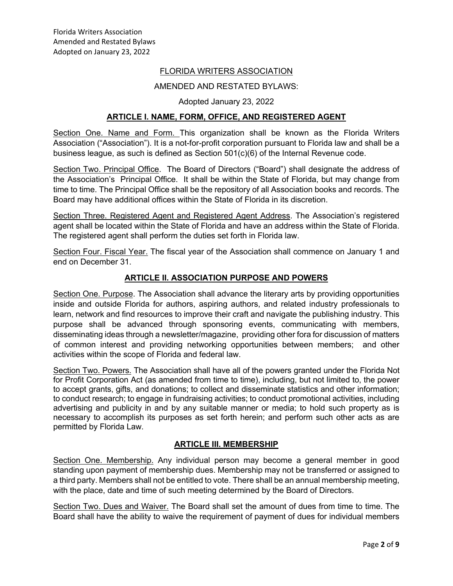## FLORIDA WRITERS ASSOCIATION

### AMENDED AND RESTATED BYLAWS:

### Adopted January 23, 2022

### **ARTICLE I. NAME, FORM, OFFICE, AND REGISTERED AGENT**

Section One. Name and Form. This organization shall be known as the Florida Writers Association ("Association"). It is a not-for-profit corporation pursuant to Florida law and shall be a business league, as such is defined as Section 501(c)(6) of the Internal Revenue code.

Section Two. Principal Office. The Board of Directors ("Board") shall designate the address of the Association's Principal Office. It shall be within the State of Florida, but may change from time to time. The Principal Office shall be the repository of all Association books and records. The Board may have additional offices within the State of Florida in its discretion.

Section Three. Registered Agent and Registered Agent Address. The Association's registered agent shall be located within the State of Florida and have an address within the State of Florida. The registered agent shall perform the duties set forth in Florida law.

Section Four. Fiscal Year. The fiscal year of the Association shall commence on January 1 and end on December 31.

### **ARTICLE II. ASSOCIATION PURPOSE AND POWERS**

Section One. Purpose. The Association shall advance the literary arts by providing opportunities inside and outside Florida for authors, aspiring authors, and related industry professionals to learn, network and find resources to improve their craft and navigate the publishing industry. This purpose shall be advanced through sponsoring events, communicating with members, disseminating ideas through a newsletter/magazine, providing other fora for discussion of matters of common interest and providing networking opportunities between members; and other activities within the scope of Florida and federal law.

Section Two. Powers. The Association shall have all of the powers granted under the Florida Not for Profit Corporation Act (as amended from time to time), including, but not limited to, the power to accept grants, gifts, and donations; to collect and disseminate statistics and other information; to conduct research; to engage in fundraising activities; to conduct promotional activities, including advertising and publicity in and by any suitable manner or media; to hold such property as is necessary to accomplish its purposes as set forth herein; and perform such other acts as are permitted by Florida Law.

#### **ARTICLE III. MEMBERSHIP**

Section One. Membership. Any individual person may become a general member in good standing upon payment of membership dues. Membership may not be transferred or assigned to a third party. Members shall not be entitled to vote. There shall be an annual membership meeting, with the place, date and time of such meeting determined by the Board of Directors.

Section Two. Dues and Waiver. The Board shall set the amount of dues from time to time. The Board shall have the ability to waive the requirement of payment of dues for individual members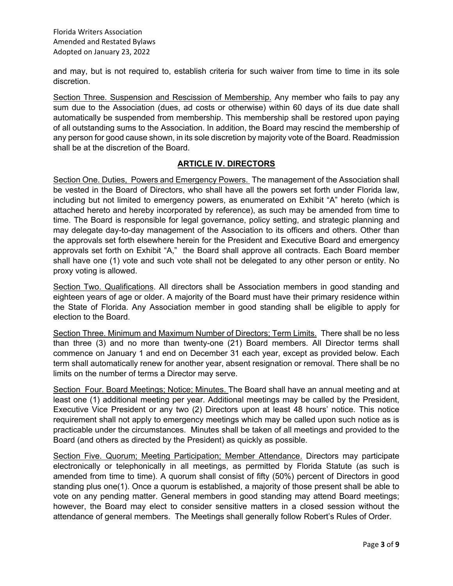and may, but is not required to, establish criteria for such waiver from time to time in its sole discretion.

Section Three. Suspension and Rescission of Membership. Any member who fails to pay any sum due to the Association (dues, ad costs or otherwise) within 60 days of its due date shall automatically be suspended from membership. This membership shall be restored upon paying of all outstanding sums to the Association. In addition, the Board may rescind the membership of any person for good cause shown, in its sole discretion by majority vote of the Board. Readmission shall be at the discretion of the Board.

## **ARTICLE IV. DIRECTORS**

Section One. Duties, Powers and Emergency Powers. The management of the Association shall be vested in the Board of Directors, who shall have all the powers set forth under Florida law, including but not limited to emergency powers, as enumerated on Exhibit "A" hereto (which is attached hereto and hereby incorporated by reference), as such may be amended from time to time. The Board is responsible for legal governance, policy setting, and strategic planning and may delegate day-to-day management of the Association to its officers and others. Other than the approvals set forth elsewhere herein for the President and Executive Board and emergency approvals set forth on Exhibit "A," the Board shall approve all contracts. Each Board member shall have one (1) vote and such vote shall not be delegated to any other person or entity. No proxy voting is allowed.

Section Two. Qualifications. All directors shall be Association members in good standing and eighteen years of age or older. A majority of the Board must have their primary residence within the State of Florida. Any Association member in good standing shall be eligible to apply for election to the Board.

Section Three. Minimum and Maximum Number of Directors; Term Limits. There shall be no less than three (3) and no more than twenty-one (21) Board members. All Director terms shall commence on January 1 and end on December 31 each year, except as provided below. Each term shall automatically renew for another year, absent resignation or removal. There shall be no limits on the number of terms a Director may serve.

Section Four. Board Meetings; Notice; Minutes. The Board shall have an annual meeting and at least one (1) additional meeting per year. Additional meetings may be called by the President, Executive Vice President or any two (2) Directors upon at least 48 hours' notice. This notice requirement shall not apply to emergency meetings which may be called upon such notice as is practicable under the circumstances. Minutes shall be taken of all meetings and provided to the Board (and others as directed by the President) as quickly as possible.

Section Five. Quorum; Meeting Participation; Member Attendance. Directors may participate electronically or telephonically in all meetings, as permitted by Florida Statute (as such is amended from time to time). A quorum shall consist of fifty (50%) percent of Directors in good standing plus one(1). Once a quorum is established, a majority of those present shall be able to vote on any pending matter. General members in good standing may attend Board meetings; however, the Board may elect to consider sensitive matters in a closed session without the attendance of general members. The Meetings shall generally follow Robert's Rules of Order.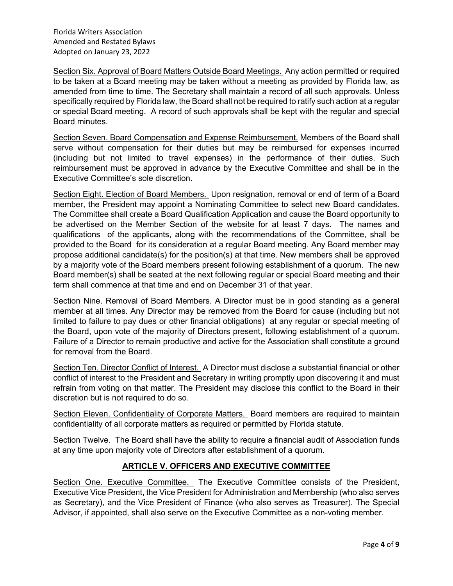Florida Writers Association Amended and Restated Bylaws Adopted on January 23, 2022

Section Six. Approval of Board Matters Outside Board Meetings. Any action permitted or required to be taken at a Board meeting may be taken without a meeting as provided by Florida law, as amended from time to time. The Secretary shall maintain a record of all such approvals. Unless specifically required by Florida law, the Board shall not be required to ratify such action at a regular or special Board meeting. A record of such approvals shall be kept with the regular and special Board minutes.

Section Seven. Board Compensation and Expense Reimbursement. Members of the Board shall serve without compensation for their duties but may be reimbursed for expenses incurred (including but not limited to travel expenses) in the performance of their duties. Such reimbursement must be approved in advance by the Executive Committee and shall be in the Executive Committee's sole discretion.

Section Eight. Election of Board Members. Upon resignation, removal or end of term of a Board member, the President may appoint a Nominating Committee to select new Board candidates. The Committee shall create a Board Qualification Application and cause the Board opportunity to be advertised on the Member Section of the website for at least 7 days. The names and qualifications of the applicants, along with the recommendations of the Committee, shall be provided to the Board for its consideration at a regular Board meeting. Any Board member may propose additional candidate(s) for the position(s) at that time. New members shall be approved by a majority vote of the Board members present following establishment of a quorum. The new Board member(s) shall be seated at the next following regular or special Board meeting and their term shall commence at that time and end on December 31 of that year.

Section Nine. Removal of Board Members. A Director must be in good standing as a general member at all times. Any Director may be removed from the Board for cause (including but not limited to failure to pay dues or other financial obligations) at any regular or special meeting of the Board, upon vote of the majority of Directors present, following establishment of a quorum. Failure of a Director to remain productive and active for the Association shall constitute a ground for removal from the Board.

Section Ten. Director Conflict of Interest. A Director must disclose a substantial financial or other conflict of interest to the President and Secretary in writing promptly upon discovering it and must refrain from voting on that matter. The President may disclose this conflict to the Board in their discretion but is not required to do so.

Section Eleven. Confidentiality of Corporate Matters. Board members are required to maintain confidentiality of all corporate matters as required or permitted by Florida statute.

Section Twelve. The Board shall have the ability to require a financial audit of Association funds at any time upon majority vote of Directors after establishment of a quorum.

# **ARTICLE V. OFFICERS AND EXECUTIVE COMMITTEE**

Section One. Executive Committee. The Executive Committee consists of the President, Executive Vice President, the Vice President for Administration and Membership (who also serves as Secretary), and the Vice President of Finance (who also serves as Treasurer). The Special Advisor, if appointed, shall also serve on the Executive Committee as a non-voting member.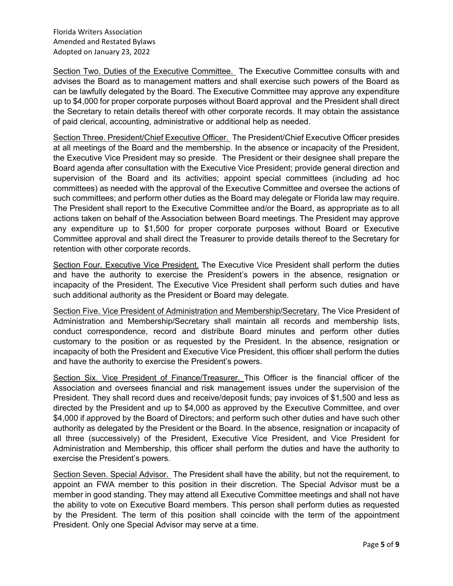Florida Writers Association Amended and Restated Bylaws Adopted on January 23, 2022

Section Two. Duties of the Executive Committee. The Executive Committee consults with and advises the Board as to management matters and shall exercise such powers of the Board as can be lawfully delegated by the Board. The Executive Committee may approve any expenditure up to \$4,000 for proper corporate purposes without Board approval and the President shall direct the Secretary to retain details thereof with other corporate records. It may obtain the assistance of paid clerical, accounting, administrative or additional help as needed.

Section Three. President/Chief Executive Officer. The President/Chief Executive Officer presides at all meetings of the Board and the membership. In the absence or incapacity of the President, the Executive Vice President may so preside. The President or their designee shall prepare the Board agenda after consultation with the Executive Vice President; provide general direction and supervision of the Board and its activities; appoint special committees (including ad hoc committees) as needed with the approval of the Executive Committee and oversee the actions of such committees; and perform other duties as the Board may delegate or Florida law may require. The President shall report to the Executive Committee and/or the Board, as appropriate as to all actions taken on behalf of the Association between Board meetings. The President may approve any expenditure up to \$1,500 for proper corporate purposes without Board or Executive Committee approval and shall direct the Treasurer to provide details thereof to the Secretary for retention with other corporate records.

Section Four. Executive Vice President. The Executive Vice President shall perform the duties and have the authority to exercise the President's powers in the absence, resignation or incapacity of the President. The Executive Vice President shall perform such duties and have such additional authority as the President or Board may delegate.

Section Five. Vice President of Administration and Membership/Secretary. The Vice President of Administration and Membership/Secretary shall maintain all records and membership lists, conduct correspondence, record and distribute Board minutes and perform other duties customary to the position or as requested by the President. In the absence, resignation or incapacity of both the President and Executive Vice President, this officer shall perform the duties and have the authority to exercise the President's powers.

Section Six. Vice President of Finance/Treasurer. This Officer is the financial officer of the Association and oversees financial and risk management issues under the supervision of the President. They shall record dues and receive/deposit funds; pay invoices of \$1,500 and less as directed by the President and up to \$4,000 as approved by the Executive Committee, and over \$4,000 if approved by the Board of Directors; and perform such other duties and have such other authority as delegated by the President or the Board. In the absence, resignation or incapacity of all three (successively) of the President, Executive Vice President, and Vice President for Administration and Membership, this officer shall perform the duties and have the authority to exercise the President's powers.

Section Seven. Special Advisor. The President shall have the ability, but not the requirement, to appoint an FWA member to this position in their discretion. The Special Advisor must be a member in good standing. They may attend all Executive Committee meetings and shall not have the ability to vote on Executive Board members. This person shall perform duties as requested by the President. The term of this position shall coincide with the term of the appointment President. Only one Special Advisor may serve at a time.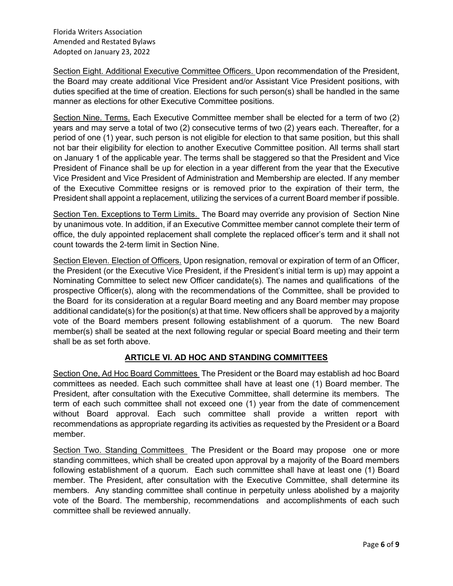Section Eight. Additional Executive Committee Officers. Upon recommendation of the President, the Board may create additional Vice President and/or Assistant Vice President positions, with duties specified at the time of creation. Elections for such person(s) shall be handled in the same manner as elections for other Executive Committee positions.

Section Nine. Terms. Each Executive Committee member shall be elected for a term of two (2) years and may serve a total of two (2) consecutive terms of two (2) years each. Thereafter, for a period of one (1) year, such person is not eligible for election to that same position, but this shall not bar their eligibility for election to another Executive Committee position. All terms shall start on January 1 of the applicable year. The terms shall be staggered so that the President and Vice President of Finance shall be up for election in a year different from the year that the Executive Vice President and Vice President of Administration and Membership are elected. If any member of the Executive Committee resigns or is removed prior to the expiration of their term, the President shall appoint a replacement, utilizing the services of a current Board member if possible.

Section Ten. Exceptions to Term Limits. The Board may override any provision of Section Nine by unanimous vote. In addition, if an Executive Committee member cannot complete their term of office, the duly appointed replacement shall complete the replaced officer's term and it shall not count towards the 2-term limit in Section Nine.

Section Eleven. Election of Officers. Upon resignation, removal or expiration of term of an Officer, the President (or the Executive Vice President, if the President's initial term is up) may appoint a Nominating Committee to select new Officer candidate(s). The names and qualifications of the prospective Officer(s), along with the recommendations of the Committee, shall be provided to the Board for its consideration at a regular Board meeting and any Board member may propose additional candidate(s) for the position(s) at that time. New officers shall be approved by a majority vote of the Board members present following establishment of a quorum. The new Board member(s) shall be seated at the next following regular or special Board meeting and their term shall be as set forth above.

# **ARTICLE VI. AD HOC AND STANDING COMMITTEES**

Section One, Ad Hoc Board Committees The President or the Board may establish ad hoc Board committees as needed. Each such committee shall have at least one (1) Board member. The President, after consultation with the Executive Committee, shall determine its members. The term of each such committee shall not exceed one (1) year from the date of commencement without Board approval. Each such committee shall provide a written report with recommendations as appropriate regarding its activities as requested by the President or a Board member.

Section Two. Standing Committees The President or the Board may propose one or more standing committees, which shall be created upon approval by a majority of the Board members following establishment of a quorum. Each such committee shall have at least one (1) Board member. The President, after consultation with the Executive Committee, shall determine its members. Any standing committee shall continue in perpetuity unless abolished by a majority vote of the Board. The membership, recommendations and accomplishments of each such committee shall be reviewed annually.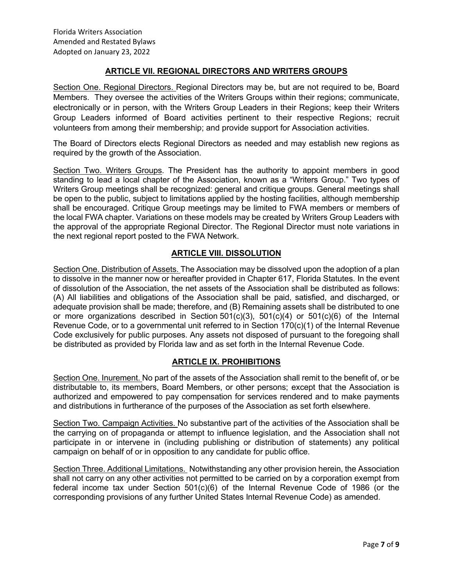## **ARTICLE VII. REGIONAL DIRECTORS AND WRITERS GROUPS**

Section One. Regional Directors. Regional Directors may be, but are not required to be, Board Members. They oversee the activities of the Writers Groups within their regions; communicate, electronically or in person, with the Writers Group Leaders in their Regions; keep their Writers Group Leaders informed of Board activities pertinent to their respective Regions; recruit volunteers from among their membership; and provide support for Association activities.

The Board of Directors elects Regional Directors as needed and may establish new regions as required by the growth of the Association.

Section Two. Writers Groups. The President has the authority to appoint members in good standing to lead a local chapter of the Association, known as a "Writers Group." Two types of Writers Group meetings shall be recognized: general and critique groups. General meetings shall be open to the public, subject to limitations applied by the hosting facilities, although membership shall be encouraged. Critique Group meetings may be limited to FWA members or members of the local FWA chapter. Variations on these models may be created by Writers Group Leaders with the approval of the appropriate Regional Director. The Regional Director must note variations in the next regional report posted to the FWA Network.

## **ARTICLE VIII. DISSOLUTION**

Section One. Distribution of Assets. The Association may be dissolved upon the adoption of a plan to dissolve in the manner now or hereafter provided in Chapter 617, Florida Statutes. In the event of dissolution of the Association, the net assets of the Association shall be distributed as follows: (A) All liabilities and obligations of the Association shall be paid, satisfied, and discharged, or adequate provision shall be made; therefore, and (B) Remaining assets shall be distributed to one or more organizations described in Section  $501(c)(3)$ ,  $501(c)(4)$  or  $501(c)(6)$  of the Internal Revenue Code, or to a governmental unit referred to in Section 170(c)(1) of the Internal Revenue Code exclusively for public purposes. Any assets not disposed of pursuant to the foregoing shall be distributed as provided by Florida law and as set forth in the Internal Revenue Code.

# **ARTICLE IX. PROHIBITIONS**

Section One. Inurement. No part of the assets of the Association shall remit to the benefit of, or be distributable to, its members, Board Members, or other persons; except that the Association is authorized and empowered to pay compensation for services rendered and to make payments and distributions in furtherance of the purposes of the Association as set forth elsewhere.

Section Two. Campaign Activities. No substantive part of the activities of the Association shall be the carrying on of propaganda or attempt to influence legislation, and the Association shall not participate in or intervene in (including publishing or distribution of statements) any political campaign on behalf of or in opposition to any candidate for public office.

Section Three. Additional Limitations. Notwithstanding any other provision herein, the Association shall not carry on any other activities not permitted to be carried on by a corporation exempt from federal income tax under Section 501(c)(6) of the Internal Revenue Code of 1986 (or the corresponding provisions of any further United States Internal Revenue Code) as amended.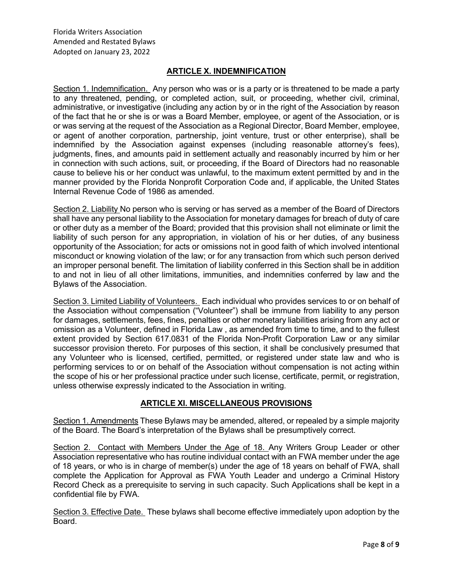## **ARTICLE X. INDEMNIFICATION**

Section 1. Indemnification. Any person who was or is a party or is threatened to be made a party to any threatened, pending, or completed action, suit, or proceeding, whether civil, criminal, administrative, or investigative (including any action by or in the right of the Association by reason of the fact that he or she is or was a Board Member, employee, or agent of the Association, or is or was serving at the request of the Association as a Regional Director, Board Member, employee, or agent of another corporation, partnership, joint venture, trust or other enterprise), shall be indemnified by the Association against expenses (including reasonable attorney's fees), judgments, fines, and amounts paid in settlement actually and reasonably incurred by him or her in connection with such actions, suit, or proceeding, if the Board of Directors had no reasonable cause to believe his or her conduct was unlawful, to the maximum extent permitted by and in the manner provided by the Florida Nonprofit Corporation Code and, if applicable, the United States Internal Revenue Code of 1986 as amended.

Section 2. Liability No person who is serving or has served as a member of the Board of Directors shall have any personal liability to the Association for monetary damages for breach of duty of care or other duty as a member of the Board; provided that this provision shall not eliminate or limit the liability of such person for any appropriation, in violation of his or her duties, of any business opportunity of the Association; for acts or omissions not in good faith of which involved intentional misconduct or knowing violation of the law; or for any transaction from which such person derived an improper personal benefit. The limitation of liability conferred in this Section shall be in addition to and not in lieu of all other limitations, immunities, and indemnities conferred by law and the Bylaws of the Association.

Section 3. Limited Liability of Volunteers. Each individual who provides services to or on behalf of the Association without compensation ("Volunteer") shall be immune from liability to any person for damages, settlements, fees, fines, penalties or other monetary liabilities arising from any act or omission as a Volunteer, defined in Florida Law , as amended from time to time, and to the fullest extent provided by Section 617.0831 of the Florida Non-Profit Corporation Law or any similar successor provision thereto. For purposes of this section, it shall be conclusively presumed that any Volunteer who is licensed, certified, permitted, or registered under state law and who is performing services to or on behalf of the Association without compensation is not acting within the scope of his or her professional practice under such license, certificate, permit, or registration, unless otherwise expressly indicated to the Association in writing.

### **ARTICLE XI. MISCELLANEOUS PROVISIONS**

Section 1. Amendments These Bylaws may be amended, altered, or repealed by a simple majority of the Board. The Board's interpretation of the Bylaws shall be presumptively correct.

Section 2. Contact with Members Under the Age of 18. Any Writers Group Leader or other Association representative who has routine individual contact with an FWA member under the age of 18 years, or who is in charge of member(s) under the age of 18 years on behalf of FWA, shall complete the Application for Approval as FWA Youth Leader and undergo a Criminal History Record Check as a prerequisite to serving in such capacity. Such Applications shall be kept in a confidential file by FWA.

Section 3. Effective Date. These bylaws shall become effective immediately upon adoption by the Board.